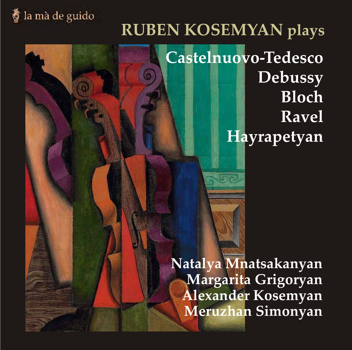# la mà de guido

# **RUBEN KOSEMYAN plays Castelnuovo-Tedesco Debussy Bloch Ravel Hayrapetyan**

**Natalya Mnatsakanyan Margarita Grigoryan Alexander Kosemyan Meruzhan Simonyan**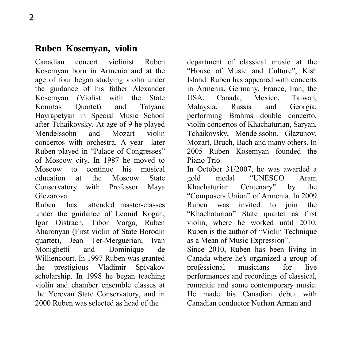#### **Ruben Kosemyan, violin**

Canadian concert violinist Ruben Kosemyan born in Armenia and at the age of four began studying violin under the guidance of his father Alexander Kosemyan (Violist with the State<br>Komitas Ouartet) and Tatyana Komitas Quartet) and Tatyana Hayrapetyan in Special Music School after Tchaikovsky. At age of 9 he played<br>Mendelssohn and Mozart violin Mendelssohn concertos with orchestra. A year later Ruben played in "Palace of Congresses" of Moscow city. In 1987 he moved to Moscow to continue his musical education at the Moscow State Conservatory with Professor Maya Glezarova.<br>Ruben b

has attended master-classes under the guidance of Leonid Kogan, Igor Oistrach, Tibor Varga, Ruben Aharonyan (First violin of State Borodin quartet), Jean Ter-Merguerian, Ivan<br>Monighetti and Dominique de and Dominique de Williencourt. In 1997 Ruben was granted<br>the prestigious Vladimir Spivakov the prestigious Vladimir scholarship. In 1998 he began teaching violin and chamber ensemble classes at the Yerevan State Conservatory, and in 2000 Ruben was selected as head of the

department of classical music at the "House of Music and Culture", Kish Island. Ruben has appeared with concerts in Armenia, Germany, France, Iran, the<br>USA Canada Mexico Taiwan Canada, Mexico, Taiwan,<br>
L. Russia and Georgia. Malaysia. Russia and performing Brahms double concerto, violin concertos of Khachaturian, Saryan, Tchaikovsky, Mendelssohn, Glazunov, Mozart, Bruch, Bach and many others. In 2005 Ruben Kosemyan founded the Piano Trio.

In October 31/2007, he was awarded a<br>gold medal "UNESCO Aram" "UNESCO Aram<br>Centenary" by the Khachaturian Centenary" by the "Composers Union" of Armenia. In 2009 Ruben was invited to join the "Khachaturian" State quartet as first violin, where he worked until 2010. Ruben is the author of "Violin Technique as a Mean of Music Expression".

Since 2010, Ruben has been living in Canada where he's organized a group of<br>professional musicians for live professional musicians for live performances and recordings of classical, romantic and some contemporary music. He made his Canadian debut with Canadian conductor Nurhan Arman and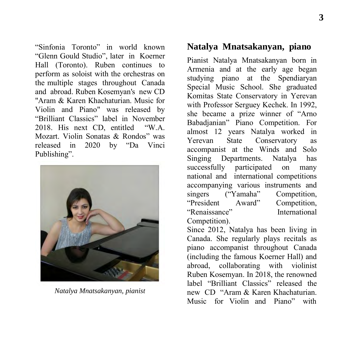"Sinfonia Toronto" in world known "Glenn Gould Studio", later in Koerner Hall (Toronto). Ruben continues to perform as soloist with the orchestras on the multiple stages throughout Canada and abroad. Ruben Kosemyan's new CD "Aram & Karen Khachaturian. Music for Violin and Piano" was released by "Brilliant Classics" label in November 2018. His next CD, entitled "W.A. Mozart. Violin Sonatas & Rondos" was released in 2020 by "Da Vinci Publishing".



*Natalya Mnatsakanyan, pianist*

#### **Natalya Mnatsakanyan, piano**

Pianist Natalya Mnatsakanyan born in Armenia and at the early age began studying piano at the Spendiaryan Special Music School. She graduated Komitas State Conservatory in Yerevan with Professor Serguey Kechek. In 1992, she became a prize winner of "Arno Babadjanian" Piano Competition. For almost 12 years Natalya worked in Yerevan State Conservatory as accompanist at the Winds and Solo<br>Singing Departments. Natalya has Singing Departments.<br>successfully participated participated on many national and international competitions accompanying various instruments and singers ("Yamaha" Competition, "President Award" Competition, "Renaissance" International Competition).

Since 2012, Natalya has been living in Canada. She regularly plays recitals as piano accompanist throughout Canada (including the famous Koerner Hall) and abroad, collaborating with violinist Ruben Kosemyan. In 2018, the renowned label "Brilliant Classics" released the new CD "Aram & Karen Khachaturian. Music for Violin and Piano" with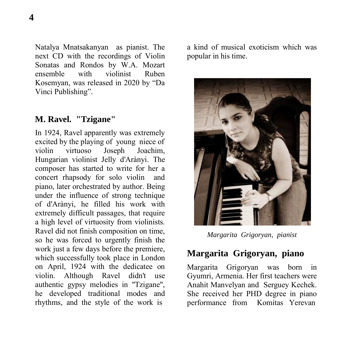Natalya Mnatsakanyan as pianist. The next CD with the recordings of Violin Sonatas and Rondos by W.A. Mozart<br>ensemble with violinist Ruben ensemble with violinist Ruben Kosemyan, was released in 2020 by "Da Vinci Publishing".

#### **M. Ravel. "Tzigane"**

In 1924, Ravel apparently was extremely excited by the playing of young niece of violin virtuoso Joseph Joachim, Hungarian violinist Jelly d'Arànyi. The composer has started to write for her a concert rhapsody for solo violin and piano, later orchestrated by author. Being under the influence of strong technique of d'Arànyi, he filled his work with extremely difficult passages, that require a high level of virtuosity from violinists. Ravel did not finish composition on time, so he was forced to urgently finish the work just a few days before the premiere. which successfully took place in London on April, 1924 with the dedicatee on violin. Although Ravel didn't use authentic gypsy melodies in "Tzigane", he developed traditional modes and rhythms, and the style of the work is

a kind of musical exoticism which was popular in his time.



*Margarita Grigoryan, pianist* 

# **Margarita Grigoryan, piano**

Margarita Grigoryan was born in Gyumri, Armenia. Her first teachers were Anahit Manvelyan and Serguey Kechek. She received her PHD degree in piano performance from Komitas Yerevan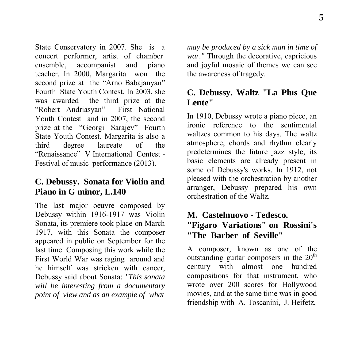State Conservatory in 2007. She is a concert performer, artist of chamber ensemble, accompanist and piano teacher. In 2000, Margarita won the second prize at the "Arno Babajanyan" Fourth State Youth Contest. In 2003, she was awarded the third prize at the<br>
"Robert Andriasyan" First National "Robert Andriasyan" Youth Contest and in 2007, the second prize at the "Georgi Sarajev" Fourth State Youth Contest. Margarita is also a<br>third degree laureate of the degree laureate of the "Renaissance" V International Contest - Festival of music performance (2013).

#### **C. Debussy. Sonata for Violin and Piano in G minor, L.140**

The last major oeuvre composed by Debussy within 1916-1917 was Violin Sonata, its premiere took place on March 1917, with this Sonata the composer appeared in public on September for the last time. Composing this work while the First World War was raging around and he himself was stricken with cancer, Debussy said about Sonata: *"This sonata will be interesting from a documentary point of view and as an example of what* 

*may be produced by a sick man in time of war."* Through the decorative, capricious and joyful mosaic of themes we can see the awareness of tragedy.

#### **C. Debussy. Waltz "La Plus Que Lente"**

In 1910, Debussy wrote a piano piece, an ironic reference to the sentimental waltzes common to his days. The waltz atmosphere, chords and rhythm clearly predetermines the future jazz style, its basic elements are already present in some of Debussy's works. In 1912, not pleased with the orchestration by another arranger, Debussy prepared his own orchestration of the Waltz.

#### **M. Castelnuovo - Tedesco. "Figaro Variations" on Rossini's "The Barber of Seville"**

A composer, known as one of the outstanding guitar composers in the  $20<sup>th</sup>$ century with almost one hundred compositions for that instrument, who wrote over 200 scores for Hollywood movies, and at the same time was in good friendship with A. Toscanini, J. Heifetz,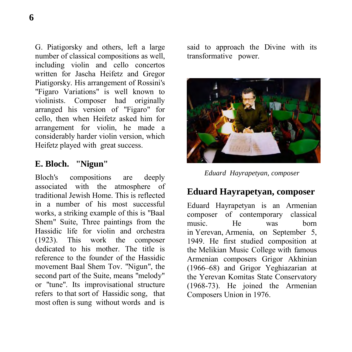G. Piatigorsky and others, left a large number of classical compositions as well, including violin and cello concertos written for Jascha Heifetz and Gregor Piatigorsky. His arrangement of Rossini's "Figaro Variations" is well known to violinists. Composer had originally arranged his version of "Figaro" for cello, then when Heifetz asked him for arrangement for violin, he made a considerably harder violin version, which Heifetz played with great success.

#### **E. Bloch. "Nigun"**

Bloch's compositions are deeply associated with the atmosphere of traditional Jewish Home. This is reflected in a number of his most successful works, a striking example of this is "Baal Shem" Suite, Three paintings from the Hassidic life for violin and orchestra (1923). This work the composer dedicated to his mother. The title is reference to the founder of the Hassidic movement Baal Shem Tov. "Nigun", the second part of the Suite, means "melody" or "tune". Its improvisational structure refers to that sort of Hassidic song, that most often is sung without words and is

said to approach the Divine with its transformative power.



*Eduard Hayrapetyan, composer* 

# **Eduard Hayrapetyan, composer**

Eduard Hayrapetyan is an Armenian composer of contemporary classical music. He was born in Yerevan, Armenia, on September 5, 1949. He first studied composition at the Melikian Music College with famous Armenian composers Grigor Akhinian (1966–68) and Grigor Yeghiazarian at the Yerevan Komitas State Conservatory (1968-73). He joined the Armenian Composers Union in 1976.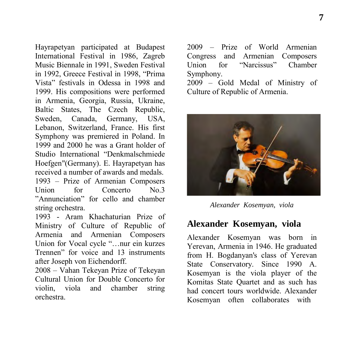Hayrapetyan participated at Budapest International Festival in 1986, Zagreb Music Biennale in 1991, Sweden Festival in 1992, Greece Festival in 1998, "Prima Vista" festivals in Odessa in 1998 and 1999. His compositions were performed in Armenia, Georgia, Russia, Ukraine, Baltic States, The Czech Republic,<br>Sweden, Canada, Germany, USA Sweden, Canada, Germany, USA, Lebanon, Switzerland, France. His first Symphony was premiered in Poland. In 1999 and 2000 he was a Grant holder of Studio International "Denkmalschmiede Hoefgen"(Germany). E. Hayrapetyan has received a number of awards and medals. 1993 – Prize of Armenian Composers<br>Llnion for Concerto No. 3  $Concerto$   $No.3$ "Annunciation" for cello and chamber string orchestra.

1993 - Aram Khachaturian Prize of Ministry of Culture of Republic of Armenia and Armenian Composers Union for Vocal cycle "…nur ein kurzes Trennen" for voice and 13 instruments after Joseph von Eichendorff.

2008 – Vahan Tekeyan Prize of Tekeyan Cultural Union for Double Concerto for violin, viola and chamber string orchestra.

2009 – Prize of World Armenian Congress and Armenian Composers  $U$ nion for Symphony.

2009 – Gold Medal of Ministry of Culture of Republic of Armenia.



*Alexander Kosemyan, viola* 

#### **Alexander Kosemyan, viola**

Alexander Kosemyan was born in Yerevan, Armenia in 1946. He graduated from H. Bogdanyan's class of Yerevan State Conservatory. Since 1990 A. Kosemyan is the viola player of the Komitas State Quartet and as such has had concert tours worldwide. Alexander Kosemyan often collaborates with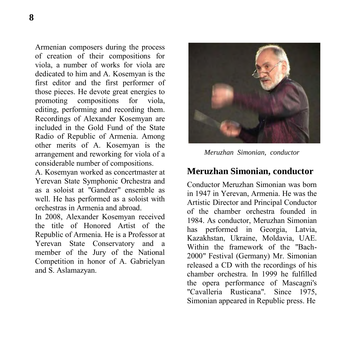Armenian composers during the process of creation of their compositions for viola, a number of works for viola are dedicated to him and A. Kosemyan is the first editor and the first performer of those pieces. He devote great energies to<br>promoting compositions for viola. compositions for viola, editing, performing and recording them. Recordings of Alexander Kosemyan are included in the Gold Fund of the State Radio of Republic of Armenia. Among other merits of A. Kosemyan is the arrangement and reworking for viola of a considerable number of compositions.

A. Kosemyan worked as concertmaster at Yerevan State Symphonic Orchestra and as a soloist at "Gandzer" ensemble as well. He has performed as a soloist with orchestras in Armenia and abroad.

In 2008, Alexander Kosemyan received the title of Honored Artist of the Republic of Armenia. He is a Professor at Yerevan State Conservatory and a member of the Jury of the National Competition in honor of A. Gabrielyan and S. Aslamazyan.



*Meruzhan Simonian, conductor* 

#### **Meruzhan Simonian, conductor**

Conductor Meruzhan Simonian was born in 1947 in Yerevan, Armenia. He was the Artistic Director and Principal Conductor of the chamber orchestra founded in 1984. As conductor, Meruzhan Simonian has performed in Georgia, Latvia, Kazakhstan, Ukraine, Moldavia, UAE. Within the framework of the "Bach-2000" Festival (Germany) Mr. Simonian released a CD with the recordings of his chamber orchestra. In 1999 he fulfilled the opera performance of Mascagni's "Cavalleria Rusticana". Since 1975, Simonian appeared in Republic press. He